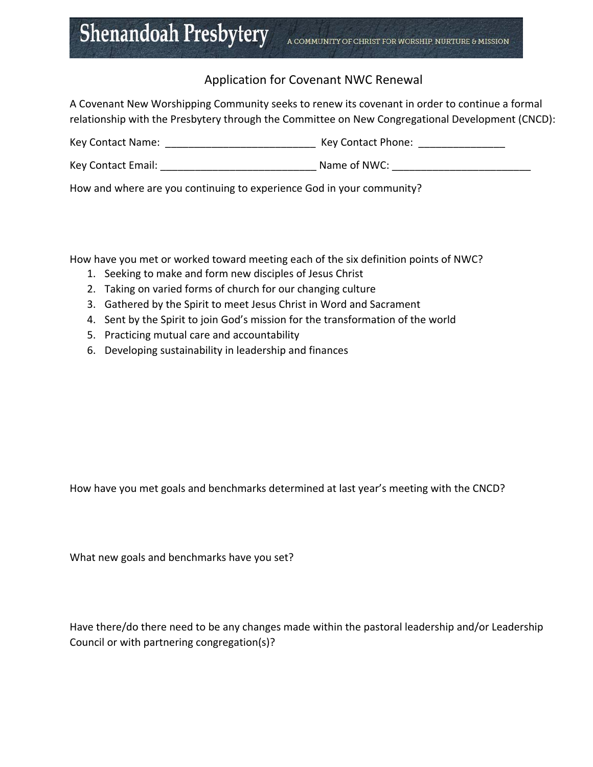## **Shenandoah Presbytery**

## Application for Covenant NWC Renewal

A Covenant New Worshipping Community seeks to renew its covenant in order to continue a formal relationship with the Presbytery through the Committee on New Congregational Development (CNCD):

| Key Contact Name:<br>Key Contact Phone: |  |
|-----------------------------------------|--|
|-----------------------------------------|--|

Key Contact Email: \_\_\_\_\_\_\_\_\_\_\_\_\_\_\_\_\_\_\_\_\_\_\_\_\_\_\_ Name of NWC: \_\_\_\_\_\_\_\_\_\_\_\_\_\_\_\_\_\_\_\_\_\_\_\_

How and where are you continuing to experience God in your community?

How have you met or worked toward meeting each of the six definition points of NWC?

- 1. Seeking to make and form new disciples of Jesus Christ
- 2. Taking on varied forms of church for our changing culture
- 3. Gathered by the Spirit to meet Jesus Christ in Word and Sacrament
- 4. Sent by the Spirit to join God's mission for the transformation of the world
- 5. Practicing mutual care and accountability
- 6. Developing sustainability in leadership and finances

How have you met goals and benchmarks determined at last year's meeting with the CNCD?

What new goals and benchmarks have you set?

Have there/do there need to be any changes made within the pastoral leadership and/or Leadership Council or with partnering congregation(s)?